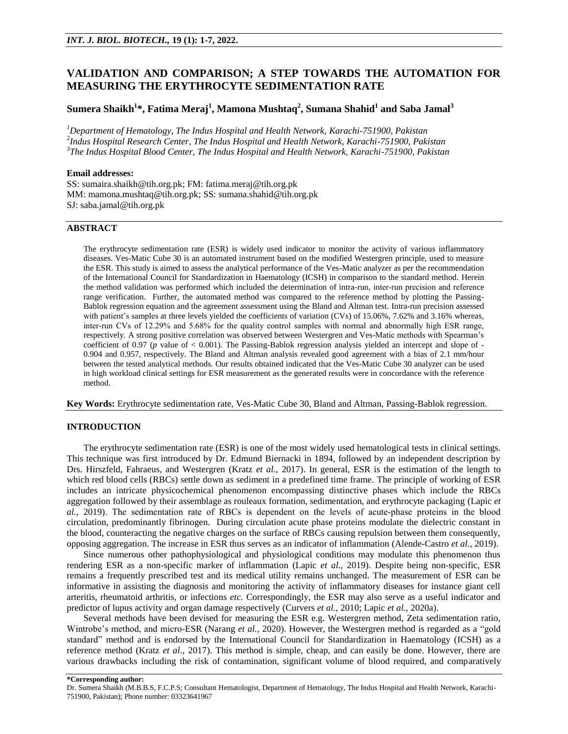# **VALIDATION AND COMPARISON; A STEP TOWARDS THE AUTOMATION FOR MEASURING THE ERYTHROCYTE SEDIMENTATION RATE**

# **Sumera Shaikh<sup>1</sup> \*, Fatima Meraj<sup>1</sup> , Mamona Mushtaq<sup>2</sup> , Sumana Shahid<sup>1</sup> and Saba Jamal<sup>3</sup>**

*<sup>1</sup>Department of Hematology, The Indus Hospital and Health Network, Karachi-751900, Pakistan 2 Indus Hospital Research Center, The Indus Hospital and Health Network, Karachi-751900, Pakistan 3 The Indus Hospital Blood Center, The Indus Hospital and Health Network, Karachi-751900, Pakistan*

### **Email addresses:**

SS: [sumaira.shaikh@tih.org.pk;](mailto:sumaira.shaikh@tih.org.pk) FM: [fatima.meraj@tih.org.pk](mailto:fatima.meraj@tih.org.pk) MM: [mamona.mushtaq@tih.org.pk;](mailto:mamona.mushtaq@tih.org.pk) SS[: sumana.shahid@tih.org.pk](mailto:sumana.shahid@tih.org.pk) SJ[: saba.jamal@tih.org.pk](mailto:saba.jamal@tih.org.pk)

# **ABSTRACT**

The erythrocyte sedimentation rate (ESR) is widely used indicator to monitor the activity of various inflammatory diseases. Ves-Matic Cube 30 is an automated instrument based on the modified Westergren principle, used to measure the ESR. This study is aimed to assess the analytical performance of the Ves-Matic analyzer as per the recommendation of the International Council for Standardization in Haematology (ICSH) in comparison to the standard method. Herein the method validation was performed which included the determination of intra-run, inter-run precision and reference range verification. Further, the automated method was compared to the reference method by plotting the Passing-Bablok regression equation and the agreement assessment using the Bland and Altman test. Intra-run precision assessed with patient's samples at three levels yielded the coefficients of variation (CVs) of 15.06%, 7.62% and 3.16% whereas, inter-run CVs of 12.29% and 5.68% for the quality control samples with normal and abnormally high ESR range, respectively. A strong positive correlation was observed between Westergren and Ves-Matic methods with Spearman's coefficient of 0.97 (*p* value of < 0.001). The Passing-Bablok regression analysis yielded an intercept and slope of - 0.904 and 0.957, respectively. The Bland and Altman analysis revealed good agreement with a bias of 2.1 mm/hour between the tested analytical methods. Our results obtained indicated that the Ves-Matic Cube 30 analyzer can be used in high workload clinical settings for ESR measurement as the generated results were in concordance with the reference method.

**Key Words:** Erythrocyte sedimentation rate, Ves-Matic Cube 30, Bland and Altman, Passing-Bablok regression.

#### **INTRODUCTION**

The erythrocyte sedimentation rate (ESR) is one of the most widely used hematological tests in clinical settings. This technique was first introduced by Dr. Edmund Biernacki in 1894, followed by an independent description by Drs. Hirszfeld, Fahraeus, and Westergren (Kratz *et al.,* 2017). In general, ESR is the estimation of the length to which red blood cells (RBCs) settle down as sediment in a predefined time frame. The principle of working of ESR includes an intricate physicochemical phenomenon encompassing distinctive phases which include the RBCs aggregation followed by their assemblage as rouleaux formation, sedimentation, and erythrocyte packaging (Lapic *et al.,* 2019). The sedimentation rate of RBCs is dependent on the levels of acute-phase proteins in the blood circulation, predominantly fibrinogen. During circulation acute phase proteins modulate the dielectric constant in the blood, counteracting the negative charges on the surface of RBCs causing repulsion between them consequently, opposing aggregation. The increase in ESR thus serves as an indicator of inflammation (Alende-Castro *et al.,* 2019).

Since numerous other pathophysiological and physiological conditions may modulate this phenomenon thus rendering ESR as a non-specific marker of inflammation (Lapic *et al.,* 2019). Despite being non-specific, ESR remains a frequently prescribed test and its medical utility remains unchanged. The measurement of ESR can be informative in assisting the diagnosis and monitoring the activity of inflammatory diseases for instance giant cell arteritis, rheumatoid arthritis, or infections *etc.* Correspondingly, the ESR may also serve as a useful indicator and predictor of lupus activity and organ damage respectively (Curvers *et al.,* 2010; Lapic *et al.,* 2020a).

Several methods have been devised for measuring the ESR e.g. Westergren method, Zeta sedimentation ratio, Wintrobe's method, and micro-ESR (Narang *et al.,* 2020). However, the Westergren method is regarded as a "gold standard" method and is endorsed by the International Council for Standardization in Haematology (ICSH) as a reference method (Kratz *et al.,* 2017). This method is simple, cheap, and can easily be done. However, there are various drawbacks including the risk of contamination, significant volume of blood required, and comparatively

**\*Corresponding author:** 

Dr. Sumera Shaikh (M.B.B.S, F.C.P.S; Consultant Hematologist, Department of Hematology, The Indus Hospital and Health Network, Karachi-751900, Pakistan); Phone number: 03323641967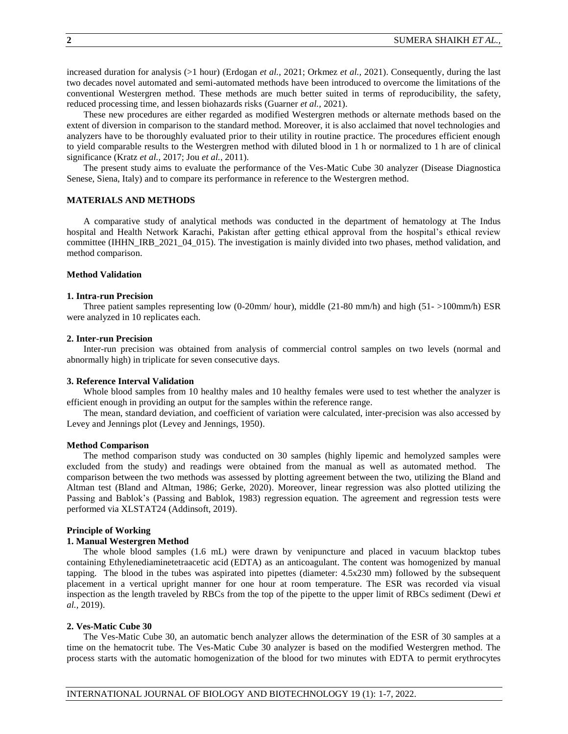increased duration for analysis (>1 hour) (Erdogan *et al.,* 2021; Orkmez *et al.,* 2021). Consequently, during the last two decades novel automated and semi-automated methods have been introduced to overcome the limitations of the conventional Westergren method. These methods are much better suited in terms of reproducibility, the safety, reduced processing time, and lessen biohazards risks (Guarner *et al.,* 2021).

These new procedures are either regarded as modified Westergren methods or alternate methods based on the extent of diversion in comparison to the standard method. Moreover, it is also acclaimed that novel technologies and analyzers have to be thoroughly evaluated prior to their utility in routine practice. The procedures efficient enough to yield comparable results to the Westergren method with diluted blood in 1 h or normalized to 1 h are of clinical significance (Kratz *et al.,* 2017; Jou *et al.,* 2011).

The present study aims to evaluate the performance of the Ves-Matic Cube 30 analyzer (Disease Diagnostica Senese, Siena, Italy) and to compare its performance in reference to the Westergren method.

#### **MATERIALS AND METHODS**

A comparative study of analytical methods was conducted in the department of hematology at The Indus hospital and Health Network Karachi, Pakistan after getting ethical approval from the hospital's ethical review committee (IHHN\_IRB\_2021\_04\_015). The investigation is mainly divided into two phases, method validation, and method comparison.

### **Method Validation**

#### **1. Intra-run Precision**

Three patient samples representing low (0-20mm/ hour), middle (21-80 mm/h) and high (51- >100mm/h) ESR were analyzed in 10 replicates each.

#### **2. Inter-run Precision**

Inter-run precision was obtained from analysis of commercial control samples on two levels (normal and abnormally high) in triplicate for seven consecutive days.

### **3. Reference Interval Validation**

Whole blood samples from 10 healthy males and 10 healthy females were used to test whether the analyzer is efficient enough in providing an output for the samples within the reference range.

The mean, standard deviation, and coefficient of variation were calculated, inter-precision was also accessed by Levey and Jennings plot (Levey and Jennings, 1950).

#### **Method Comparison**

The method comparison study was conducted on 30 samples (highly lipemic and hemolyzed samples were excluded from the study) and readings were obtained from the manual as well as automated method. The comparison between the two methods was assessed by plotting agreement between the two, utilizing the Bland and Altman test (Bland and Altman, 1986; Gerke, 2020). Moreover, linear regression was also plotted utilizing the Passing and Bablok's (Passing and Bablok, 1983) regression equation. The agreement and regression tests were performed via XLSTAT24 (Addinsoft, 2019).

#### **Principle of Working**

### **1. Manual Westergren Method**

The whole blood samples (1.6 mL) were drawn by venipuncture and placed in vacuum blacktop tubes containing Ethylenediaminetetraacetic acid (EDTA) as an anticoagulant. The content was homogenized by manual tapping. The blood in the tubes was aspirated into pipettes (diameter: 4.5x230 mm) followed by the subsequent placement in a vertical upright manner for one hour at room temperature. The ESR was recorded via visual inspection as the length traveled by RBCs from the top of the pipette to the upper limit of RBCs sediment (Dewi *et al.,* 2019).

### **2. Ves-Matic Cube 30**

The Ves-Matic Cube 30, an automatic bench analyzer allows the determination of the ESR of 30 samples at a time on the hematocrit tube. The Ves-Matic Cube 30 analyzer is based on the modified Westergren method. The process starts with the automatic homogenization of the blood for two minutes with EDTA to permit erythrocytes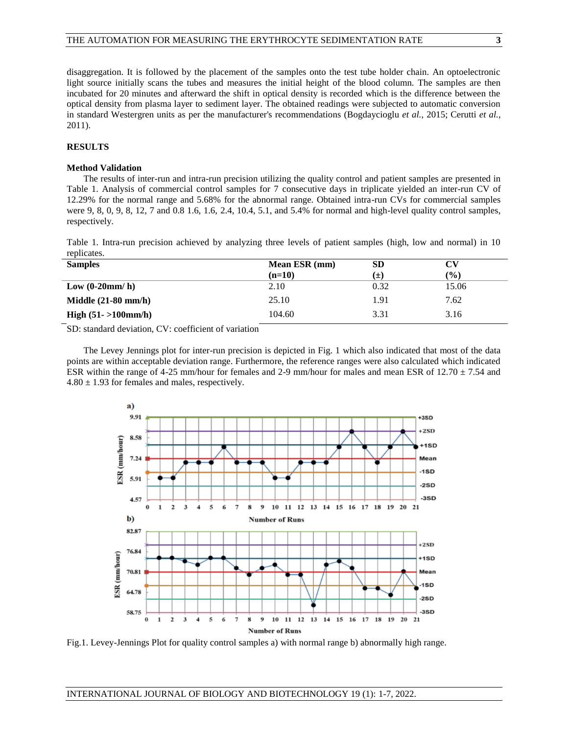disaggregation. It is followed by the placement of the samples onto the test tube holder chain. An optoelectronic light source initially scans the tubes and measures the initial height of the blood column. The samples are then incubated for 20 minutes and afterward the shift in optical density is recorded which is the difference between the optical density from plasma layer to sediment layer. The obtained readings were subjected to automatic conversion in standard Westergren units as per the manufacturer's recommendations (Bogdaycioglu *et al.,* 2015; Cerutti *et al.,* 2011).

## **RESULTS**

### **Method Validation**

The results of inter-run and intra-run precision utilizing the quality control and patient samples are presented in Table 1. Analysis of commercial control samples for 7 consecutive days in triplicate yielded an inter-run CV of 12.29% for the normal range and 5.68% for the abnormal range. Obtained intra-run CVs for commercial samples were 9, 8, 0, 9, 8, 12, 7 and 0.8 1.6, 1.6, 2.4, 10.4, 5.1, and 5.4% for normal and high-level quality control samples, respectively.

Table 1. Intra-run precision achieved by analyzing three levels of patient samples (high, low and normal) in 10 replicates.

| <b>Samples</b>         | Mean ESR (mm) | <b>SD</b> | CV             |
|------------------------|---------------|-----------|----------------|
|                        | $(n=10)$      | (±)       | $\binom{0}{0}$ |
| Low $(0-20mm/h)$       | 2.10          | 0.32      | 15.06          |
| Middle $(21-80$ mm/h)  | 25.10         | 1.91      | 7.62           |
| High $(51 - 100$ mm/h) | 104.60        | 3.31      | 3.16           |

SD: standard deviation, CV: coefficient of variation

The Levey Jennings plot for inter-run precision is depicted in Fig. 1 which also indicated that most of the data points are within acceptable deviation range. Furthermore, the reference ranges were also calculated which indicated ESR within the range of 4-25 mm/hour for females and 2-9 mm/hour for males and mean ESR of 12.70 ± 7.54 and  $4.80 \pm 1.93$  for females and males, respectively.



Fig.1. Levey-Jennings Plot for quality control samples a) with normal range b) abnormally high range.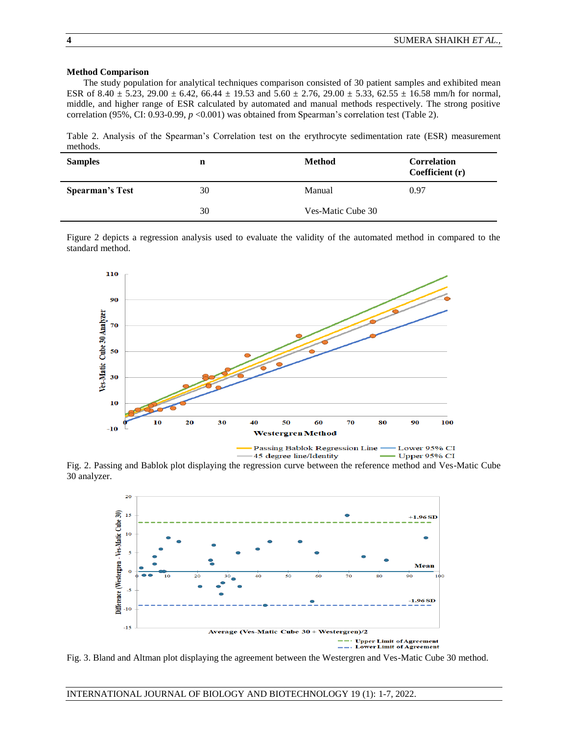### **Method Comparison**

The study population for analytical techniques comparison consisted of 30 patient samples and exhibited mean ESR of  $8.40 \pm 5.23$ ,  $29.00 \pm 6.42$ ,  $66.44 \pm 19.53$  and  $5.60 \pm 2.76$ ,  $29.00 \pm 5.33$ ,  $62.55 \pm 16.58$  mm/h for normal, middle, and higher range of ESR calculated by automated and manual methods respectively. The strong positive correlation (95%, CI: 0.93-0.99, *p* <0.001) was obtained from Spearman's correlation test (Table 2).

Table 2. Analysis of the Spearman's Correlation test on the erythrocyte sedimentation rate (ESR) measurement methods.

| <b>Samples</b>         | n  | <b>Method</b>     | <b>Correlation</b><br>Coefficient (r) |
|------------------------|----|-------------------|---------------------------------------|
| <b>Spearman's Test</b> | 30 | Manual            | 0.97                                  |
|                        | 30 | Ves-Matic Cube 30 |                                       |

Figure 2 depicts a regression analysis used to evaluate the validity of the automated method in compared to the standard method.



Fig. 2. Passing and Bablok plot displaying the regression curve between the reference method and Ves-Matic Cube 30 analyzer.



Fig. 3. Bland and Altman plot displaying the agreement between the Westergren and Ves-Matic Cube 30 method.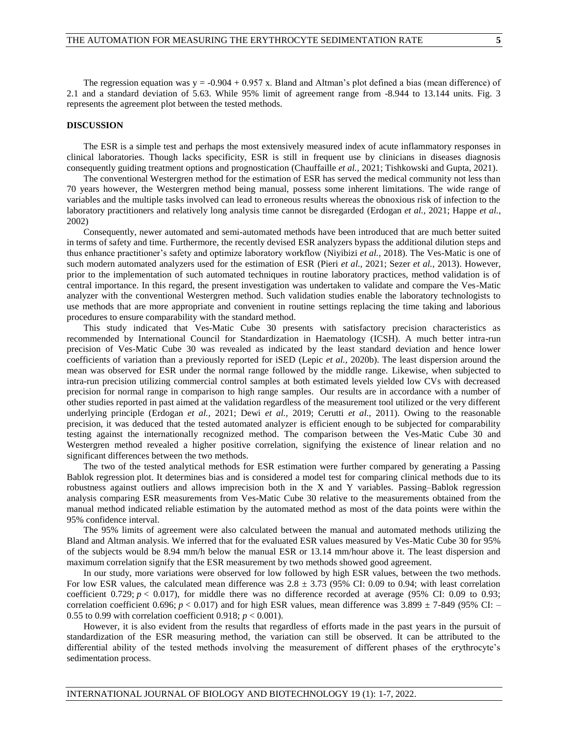The regression equation was  $y = -0.904 + 0.957$  x. Bland and Altman's plot defined a bias (mean difference) of 2.1 and a standard deviation of 5.63. While 95% limit of agreement range from -8.944 to 13.144 units. Fig. 3 represents the agreement plot between the tested methods.

#### **DISCUSSION**

The ESR is a simple test and perhaps the most extensively measured index of acute inflammatory responses in clinical laboratories. Though lacks specificity, ESR is still in frequent use by clinicians in diseases diagnosis consequently guiding treatment options and prognostication (Chauffaille *et al.,* 2021; Tishkowski and Gupta, 2021).

The conventional Westergren method for the estimation of ESR has served the medical community not less than 70 years however, the Westergren method being manual, possess some inherent limitations. The wide range of variables and the multiple tasks involved can lead to erroneous results whereas the obnoxious risk of infection to the laboratory practitioners and relatively long analysis time cannot be disregarded (Erdogan *et al.,* 2021; Happe *et al.,* 2002)

Consequently, newer automated and semi-automated methods have been introduced that are much better suited in terms of safety and time. Furthermore, the recently devised ESR analyzers bypass the additional dilution steps and thus enhance practitioner's safety and optimize laboratory workflow (Niyibizi *et al.,* 2018). The Ves-Matic is one of such modern automated analyzers used for the estimation of ESR (Pieri *et al.,* 2021; Sezer *et al.,* 2013). However, prior to the implementation of such automated techniques in routine laboratory practices, method validation is of central importance. In this regard, the present investigation was undertaken to validate and compare the Ves-Matic analyzer with the conventional Westergren method. Such validation studies enable the laboratory technologists to use methods that are more appropriate and convenient in routine settings replacing the time taking and laborious procedures to ensure comparability with the standard method.

This study indicated that Ves-Matic Cube 30 presents with satisfactory precision characteristics as recommended by International Council for Standardization in Haematology (ICSH). A much better intra-run precision of Ves-Matic Cube 30 was revealed as indicated by the least standard deviation and hence lower coefficients of variation than a previously reported for iSED (Lepic *et al.,* 2020b). The least dispersion around the mean was observed for ESR under the normal range followed by the middle range. Likewise, when subjected to intra-run precision utilizing commercial control samples at both estimated levels yielded low CVs with decreased precision for normal range in comparison to high range samples. Our results are in accordance with a number of other studies reported in past aimed at the validation regardless of the measurement tool utilized or the very different underlying principle (Erdogan *et al.,* 2021; Dewi *et al.,* 2019; Cerutti *et al.,* 2011). Owing to the reasonable precision, it was deduced that the tested automated analyzer is efficient enough to be subjected for comparability testing against the internationally recognized method. The comparison between the Ves-Matic Cube 30 and Westergren method revealed a higher positive correlation, signifying the existence of linear relation and no significant differences between the two methods.

The two of the tested analytical methods for ESR estimation were further compared by generating a Passing Bablok regression plot. It determines bias and is considered a model test for comparing clinical methods due to its robustness against outliers and allows imprecision both in the X and Y variables. Passing–Bablok regression analysis comparing ESR measurements from Ves-Matic Cube 30 relative to the measurements obtained from the manual method indicated reliable estimation by the automated method as most of the data points were within the 95% confidence interval.

The 95% limits of agreement were also calculated between the manual and automated methods utilizing the Bland and Altman analysis. We inferred that for the evaluated ESR values measured by Ves-Matic Cube 30 for 95% of the subjects would be 8.94 mm/h below the manual ESR or 13.14 mm/hour above it. The least dispersion and maximum correlation signify that the ESR measurement by two methods showed good agreement.

In our study, more variations were observed for low followed by high ESR values, between the two methods. For low ESR values, the calculated mean difference was  $2.8 \pm 3.73$  (95% CI: 0.09 to 0.94; with least correlation coefficient 0.729;  $p < 0.017$ ), for middle there was no difference recorded at average (95% CI: 0.09 to 0.93; correlation coefficient 0.696;  $p < 0.017$ ) and for high ESR values, mean difference was  $3.899 \pm 7.849$  (95% CI: – 0.55 to 0.99 with correlation coefficient 0.918;  $p < 0.001$ ).

However, it is also evident from the results that regardless of efforts made in the past years in the pursuit of standardization of the ESR measuring method, the variation can still be observed. It can be attributed to the differential ability of the tested methods involving the measurement of different phases of the erythrocyte's sedimentation process.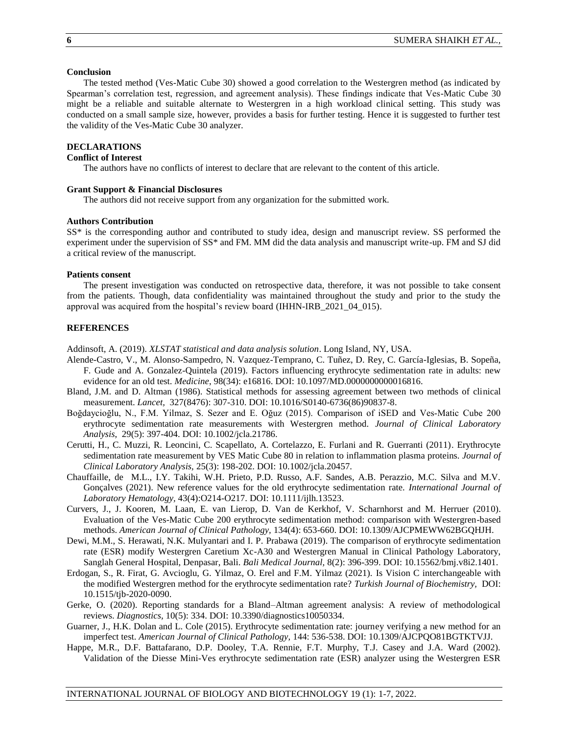### **Conclusion**

The tested method (Ves-Matic Cube 30) showed a good correlation to the Westergren method (as indicated by Spearman's correlation test, regression, and agreement analysis). These findings indicate that Ves-Matic Cube 30 might be a reliable and suitable alternate to Westergren in a high workload clinical setting. This study was conducted on a small sample size, however, provides a basis for further testing. Hence it is suggested to further test the validity of the Ves-Matic Cube 30 analyzer.

# **DECLARATIONS**

# **Conflict of Interest**

The authors have no conflicts of interest to declare that are relevant to the content of this article.

# **Grant Support & Financial Disclosures**

The authors did not receive support from any organization for the submitted work.

### **Authors Contribution**

SS\* is the corresponding author and contributed to study idea, design and manuscript review. SS performed the experiment under the supervision of SS\* and FM. MM did the data analysis and manuscript write-up. FM and SJ did a critical review of the manuscript.

#### **Patients consent**

The present investigation was conducted on retrospective data, therefore, it was not possible to take consent from the patients. Though, data confidentiality was maintained throughout the study and prior to the study the approval was acquired from the hospital's review board (IHHN-IRB\_2021\_04\_015).

### **REFERENCES**

Addinsoft, A. (2019). *XLSTAT statistical and data analysis solution*. Long Island, NY, USA.

- Alende-Castro, V., M. Alonso-Sampedro, N. Vazquez-Temprano, C. Tuñez, D. Rey, C. García-Iglesias, B. Sopeña, F. Gude and A. Gonzalez-Quintela (2019). Factors influencing erythrocyte sedimentation rate in adults: new evidence for an old test. *Medicine*, 98(34): e16816. DOI: 10.1097/MD.0000000000016816.
- Bland, J.M. and D. Altman (1986). Statistical methods for assessing agreement between two methods of clinical measurement. *Lancet,* 327(8476): 307-310. DOI: 10.1016/S0140-6736(86)90837-8.
- Boğdaycioğlu, N., F.M. Yilmaz, S. Sezer and E. Oğuz (2015). Comparison of iSED and Ves‐Matic Cube 200 erythrocyte sedimentation rate measurements with Westergren method. *Journal of Clinical Laboratory Analysis*, 29(5): 397-404. DOI: 10.1002/jcla.21786.
- Cerutti, H., C. Muzzi, R. Leoncini, C. Scapellato, A. Cortelazzo, E. Furlani and R. Guerranti (2011). Erythrocyte sedimentation rate measurement by VES Matic Cube 80 in relation to inflammation plasma proteins. *Journal of Clinical Laboratory Analysis,* 25(3): 198-202. DOI: 10.1002/jcla.20457.
- Chauffaille, de M.L., I.Y. Takihi, W.H. Prieto, P.D. Russo, A.F. Sandes, A.B. Perazzio, M.C. Silva and M.V. Gonçalves (2021). New reference values for the old erythrocyte sedimentation rate. *International Journal of Laboratory Hematology,* 43(4):O214-O217. DOI: 10.1111/ijlh.13523.
- Curvers, J., J. Kooren, M. Laan, E. van Lierop, D. Van de Kerkhof, V. Scharnhorst and M. Herruer (2010). Evaluation of the Ves-Matic Cube 200 erythrocyte sedimentation method: comparison with Westergren-based methods. *American Journal of Clinical Pathology,* 134(4): 653-660. DOI: 10.1309/AJCPMEWW62BGQHJH.
- Dewi, M.M., S. Herawati, N.K. Mulyantari and I. P. Prabawa (2019). The comparison of erythrocyte sedimentation rate (ESR) modify Westergren Caretium Xc-A30 and Westergren Manual in Clinical Pathology Laboratory, Sanglah General Hospital, Denpasar, Bali. *Bali Medical Journal,* 8(2): 396-399. DOI: 10.15562/bmj.v8i2.1401.
- Erdogan, S., R. Firat, G. Avcioglu, G. Yilmaz, O. Erel and F.M. Yilmaz (2021). Is Vision C interchangeable with the modified Westergren method for the erythrocyte sedimentation rate? *Turkish Journal of Biochemistry,* DOI: 10.1515/tjb-2020-0090.
- Gerke, O. (2020). Reporting standards for a Bland–Altman agreement analysis: A review of methodological reviews. *Diagnostics,* 10(5): 334. DOI: 10.3390/diagnostics10050334.
- Guarner, J., H.K. Dolan and L. Cole (2015). Erythrocyte sedimentation rate: journey verifying a new method for an imperfect test. *American Journal of Clinical Pathology,* 144: 536-538. DOI: 10.1309/AJCPQO81BGTKTVJJ.
- Happe, M.R., D.F. Battafarano, D.P. Dooley, T.A. Rennie, F.T. Murphy, T.J. Casey and J.A. Ward (2002). Validation of the Diesse Mini-Ves erythrocyte sedimentation rate (ESR) analyzer using the Westergren ESR